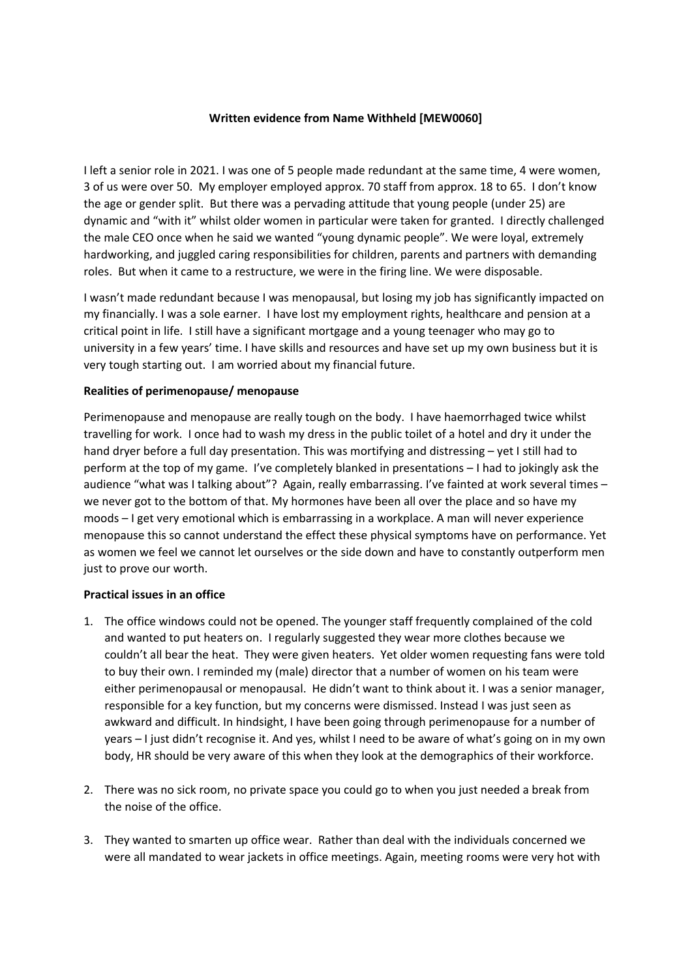## **Written evidence from Name Withheld [MEW0060]**

I left a senior role in 2021. I was one of 5 people made redundant at the same time, 4 were women, 3 of us were over 50. My employer employed approx. 70 staff from approx. 18 to 65. I don't know the age or gender split. But there was a pervading attitude that young people (under 25) are dynamic and "with it" whilst older women in particular were taken for granted. I directly challenged the male CEO once when he said we wanted "young dynamic people". We were loyal, extremely hardworking, and juggled caring responsibilities for children, parents and partners with demanding roles. But when it came to a restructure, we were in the firing line. We were disposable.

I wasn't made redundant because I was menopausal, but losing my job has significantly impacted on my financially. I was a sole earner. I have lost my employment rights, healthcare and pension at a critical point in life. I still have a significant mortgage and a young teenager who may go to university in a few years' time. I have skills and resources and have set up my own business but it is very tough starting out. I am worried about my financial future.

## **Realities of perimenopause/ menopause**

Perimenopause and menopause are really tough on the body. I have haemorrhaged twice whilst travelling for work. I once had to wash my dress in the public toilet of a hotel and dry it under the hand dryer before a full day presentation. This was mortifying and distressing – yet I still had to perform at the top of my game. I've completely blanked in presentations – I had to jokingly ask the audience "what was I talking about"? Again, really embarrassing. I've fainted at work several times – we never got to the bottom of that. My hormones have been all over the place and so have my moods – I get very emotional which is embarrassing in a workplace. A man will never experience menopause this so cannot understand the effect these physical symptoms have on performance. Yet as women we feel we cannot let ourselves or the side down and have to constantly outperform men just to prove our worth.

## **Practical issues in an office**

- 1. The office windows could not be opened. The younger staff frequently complained of the cold and wanted to put heaters on. I regularly suggested they wear more clothes because we couldn't all bear the heat. They were given heaters. Yet older women requesting fans were told to buy their own. I reminded my (male) director that a number of women on his team were either perimenopausal or menopausal. He didn't want to think about it. I was a senior manager, responsible for a key function, but my concerns were dismissed. Instead I was just seen as awkward and difficult. In hindsight, I have been going through perimenopause for a number of years – I just didn't recognise it. And yes, whilst I need to be aware of what's going on in my own body, HR should be very aware of this when they look at the demographics of their workforce.
- 2. There was no sick room, no private space you could go to when you just needed a break from the noise of the office.
- 3. They wanted to smarten up office wear. Rather than deal with the individuals concerned we were all mandated to wear jackets in office meetings. Again, meeting rooms were very hot with